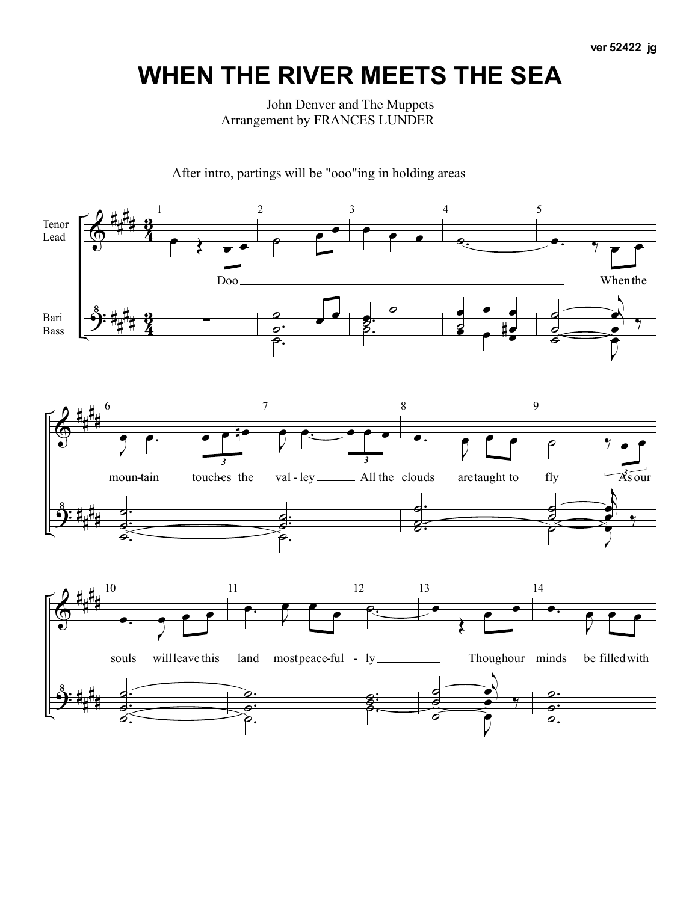**ver 52422 jg**

## **WHEN THE RIVER MEETS THE SEA**

John Denver and The Muppets Arrangement by FRANCES LUNDER

After intro, partings will be "ooo"ing in holding areas

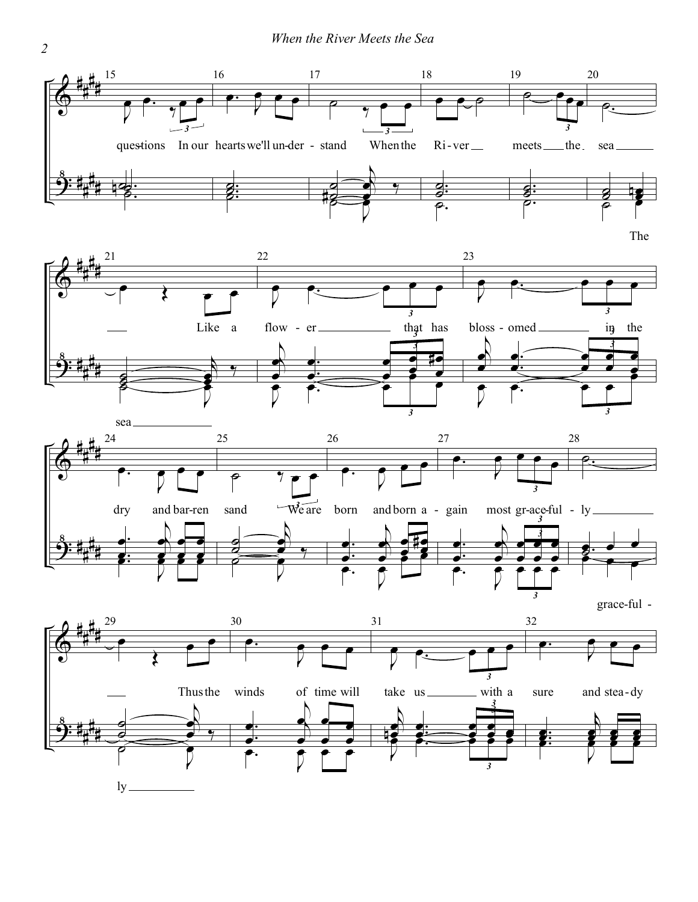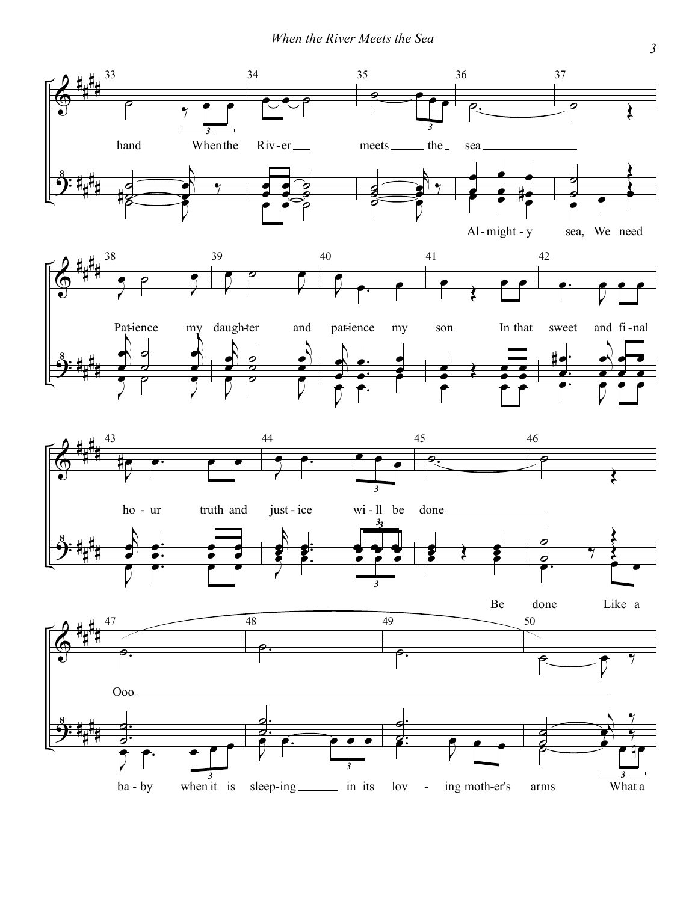